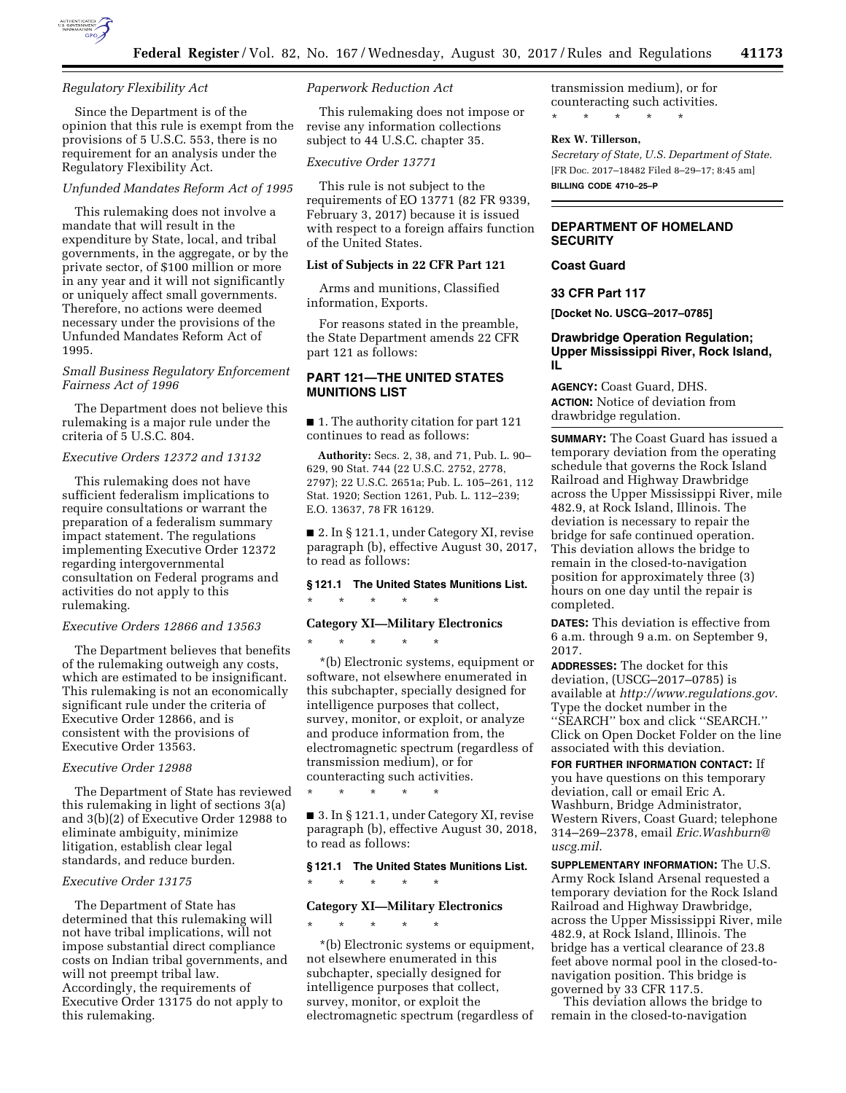

## *Regulatory Flexibility Act*

Since the Department is of the opinion that this rule is exempt from the provisions of 5 U.S.C. 553, there is no requirement for an analysis under the Regulatory Flexibility Act.

## *Unfunded Mandates Reform Act of 1995*

This rulemaking does not involve a mandate that will result in the expenditure by State, local, and tribal governments, in the aggregate, or by the private sector, of \$100 million or more in any year and it will not significantly or uniquely affect small governments. Therefore, no actions were deemed necessary under the provisions of the Unfunded Mandates Reform Act of 1995.

# *Small Business Regulatory Enforcement Fairness Act of 1996*

The Department does not believe this rulemaking is a major rule under the criteria of 5 U.S.C. 804.

# *Executive Orders 12372 and 13132*

This rulemaking does not have sufficient federalism implications to require consultations or warrant the preparation of a federalism summary impact statement. The regulations implementing Executive Order 12372 regarding intergovernmental consultation on Federal programs and activities do not apply to this rulemaking.

## *Executive Orders 12866 and 13563*

The Department believes that benefits of the rulemaking outweigh any costs, which are estimated to be insignificant. This rulemaking is not an economically significant rule under the criteria of Executive Order 12866, and is consistent with the provisions of Executive Order 13563.

# *Executive Order 12988*

The Department of State has reviewed this rulemaking in light of sections 3(a) and 3(b)(2) of Executive Order 12988 to eliminate ambiguity, minimize litigation, establish clear legal standards, and reduce burden.

# *Executive Order 13175*

The Department of State has determined that this rulemaking will not have tribal implications, will not impose substantial direct compliance costs on Indian tribal governments, and will not preempt tribal law. Accordingly, the requirements of Executive Order 13175 do not apply to this rulemaking.

# *Paperwork Reduction Act*

This rulemaking does not impose or revise any information collections subject to 44 U.S.C. chapter 35.

#### *Executive Order 13771*

This rule is not subject to the requirements of EO 13771 (82 FR 9339, February 3, 2017) because it is issued with respect to a foreign affairs function of the United States.

## **List of Subjects in 22 CFR Part 121**

Arms and munitions, Classified information, Exports.

For reasons stated in the preamble, the State Department amends 22 CFR part 121 as follows:

# **PART 121—THE UNITED STATES MUNITIONS LIST**

■ 1. The authority citation for part 121 continues to read as follows:

**Authority:** Secs. 2, 38, and 71, Pub. L. 90– 629, 90 Stat. 744 (22 U.S.C. 2752, 2778, 2797); 22 U.S.C. 2651a; Pub. L. 105–261, 112 Stat. 1920; Section 1261, Pub. L. 112–239; E.O. 13637, 78 FR 16129.

■ 2. In § 121.1, under Category XI, revise paragraph (b), effective August 30, 2017, to read as follows:

# **§ 121.1 The United States Munitions List.**

\* \* \* \* \*

\* \* \* \* \*

# **Category XI—Military Electronics**

\*(b) Electronic systems, equipment or software, not elsewhere enumerated in this subchapter, specially designed for intelligence purposes that collect, survey, monitor, or exploit, or analyze and produce information from, the electromagnetic spectrum (regardless of transmission medium), or for counteracting such activities.

\* \* \* \* \*

■ 3. In § 121.1, under Category XI, revise paragraph (b), effective August 30, 2018, to read as follows:

# **§ 121.1 The United States Munitions List.**

\* \* \* \* \*

# **Category XI—Military Electronics**

\* \* \* \* \*

\*(b) Electronic systems or equipment, not elsewhere enumerated in this subchapter, specially designed for intelligence purposes that collect, survey, monitor, or exploit the electromagnetic spectrum (regardless of transmission medium), or for counteracting such activities. \* \* \* \* \*

#### **Rex W. Tillerson,**

*Secretary of State, U.S. Department of State.*  [FR Doc. 2017–18482 Filed 8–29–17; 8:45 am] **BILLING CODE 4710–25–P** 

# **DEPARTMENT OF HOMELAND SECURITY**

# **Coast Guard**

**33 CFR Part 117** 

**[Docket No. USCG–2017–0785]** 

## **Drawbridge Operation Regulation; Upper Mississippi River, Rock Island, IL**

**AGENCY:** Coast Guard, DHS. **ACTION:** Notice of deviation from drawbridge regulation.

**SUMMARY:** The Coast Guard has issued a temporary deviation from the operating schedule that governs the Rock Island Railroad and Highway Drawbridge across the Upper Mississippi River, mile 482.9, at Rock Island, Illinois. The deviation is necessary to repair the bridge for safe continued operation. This deviation allows the bridge to remain in the closed-to-navigation position for approximately three (3) hours on one day until the repair is completed.

**DATES:** This deviation is effective from 6 a.m. through 9 a.m. on September 9, 2017.

**ADDRESSES:** The docket for this deviation, (USCG–2017–0785) is available at *http://www.regulations.gov*. Type the docket number in the ''SEARCH'' box and click ''SEARCH.'' Click on Open Docket Folder on the line associated with this deviation.

**FOR FURTHER INFORMATION CONTACT:** If you have questions on this temporary deviation, call or email Eric A. Washburn, Bridge Administrator, Western Rivers, Coast Guard; telephone 314–269–2378, email *Eric.Washburn@ uscg.mil*.

**SUPPLEMENTARY INFORMATION:** The U.S. Army Rock Island Arsenal requested a temporary deviation for the Rock Island Railroad and Highway Drawbridge, across the Upper Mississippi River, mile 482.9, at Rock Island, Illinois. The bridge has a vertical clearance of 23.8 feet above normal pool in the closed-tonavigation position. This bridge is governed by 33 CFR 117.5.

This deviation allows the bridge to remain in the closed-to-navigation